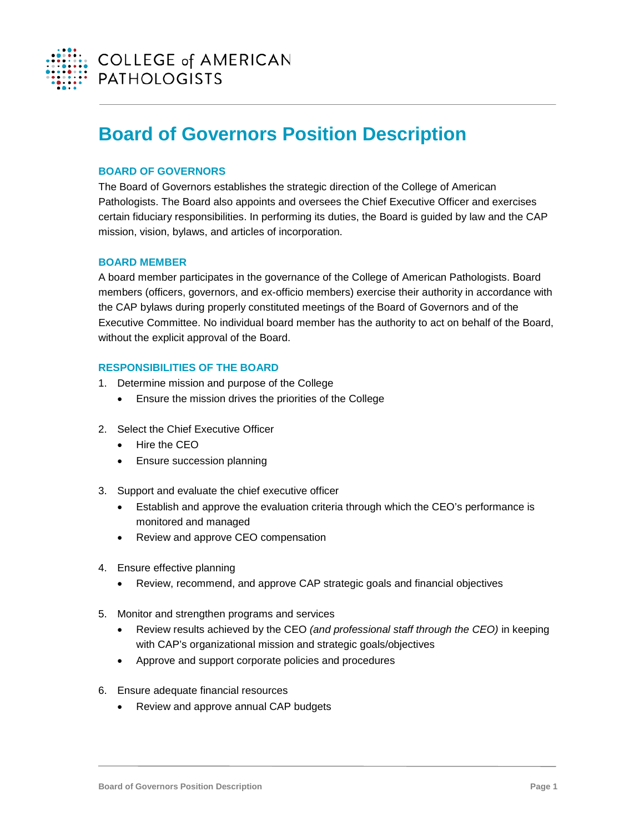

# **Board of Governors Position Description**

# **BOARD OF GOVERNORS**

The Board of Governors establishes the strategic direction of the College of American Pathologists. The Board also appoints and oversees the Chief Executive Officer and exercises certain fiduciary responsibilities. In performing its duties, the Board is guided by law and the CAP mission, vision, bylaws, and articles of incorporation.

#### **BOARD MEMBER**

A board member participates in the governance of the College of American Pathologists. Board members (officers, governors, and ex-officio members) exercise their authority in accordance with the CAP bylaws during properly constituted meetings of the Board of Governors and of the Executive Committee. No individual board member has the authority to act on behalf of the Board, without the explicit approval of the Board.

### **RESPONSIBILITIES OF THE BOARD**

- 1. Determine mission and purpose of the College
	- Ensure the mission drives the priorities of the College
- 2. Select the Chief Executive Officer
	- Hire the CEO
	- Ensure succession planning
- 3. Support and evaluate the chief executive officer
	- Establish and approve the evaluation criteria through which the CEO's performance is monitored and managed
	- Review and approve CEO compensation
- 4. Ensure effective planning
	- Review, recommend, and approve CAP strategic goals and financial objectives
- 5. Monitor and strengthen programs and services
	- Review results achieved by the CEO *(and professional staff through the CEO)* in keeping with CAP's organizational mission and strategic goals/objectives
	- Approve and support corporate policies and procedures
- 6. Ensure adequate financial resources
	- Review and approve annual CAP budgets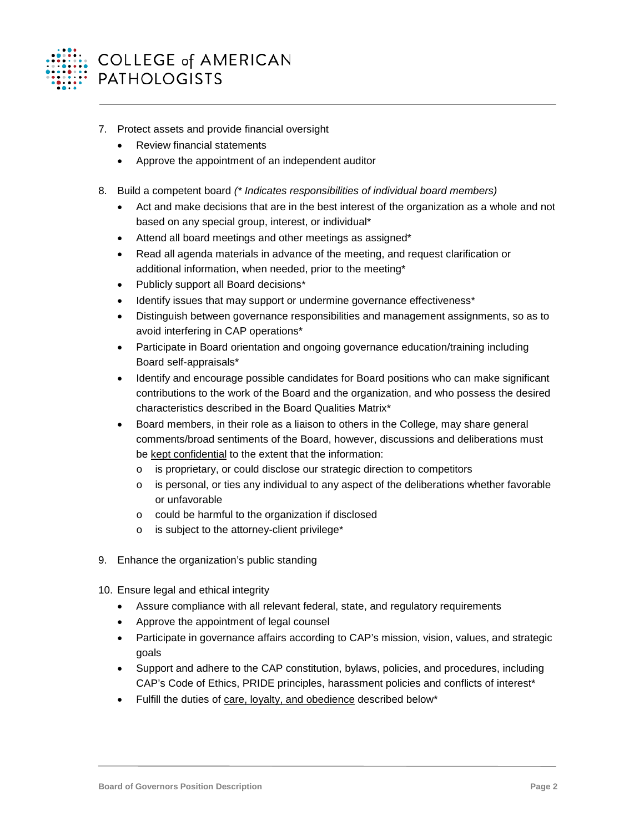

- 7. Protect assets and provide financial oversight
	- Review financial statements
	- Approve the appointment of an independent auditor
- 8. Build a competent board *(\* Indicates responsibilities of individual board members)*
	- Act and make decisions that are in the best interest of the organization as a whole and not based on any special group, interest, or individual\*
	- Attend all board meetings and other meetings as assigned\*
	- Read all agenda materials in advance of the meeting, and request clarification or additional information, when needed, prior to the meeting\*
	- Publicly support all Board decisions\*
	- Identify issues that may support or undermine governance effectiveness\*
	- Distinguish between governance responsibilities and management assignments, so as to avoid interfering in CAP operations\*
	- Participate in Board orientation and ongoing governance education/training including Board self-appraisals\*
	- Identify and encourage possible candidates for Board positions who can make significant contributions to the work of the Board and the organization, and who possess the desired characteristics described in the Board Qualities Matrix\*
	- Board members, in their role as a liaison to others in the College, may share general comments/broad sentiments of the Board, however, discussions and deliberations must be kept confidential to the extent that the information:
		- o is proprietary, or could disclose our strategic direction to competitors
		- $\circ$  is personal, or ties any individual to any aspect of the deliberations whether favorable or unfavorable
		- o could be harmful to the organization if disclosed
		- o is subject to the attorney-client privilege\*
- 9. Enhance the organization's public standing
- 10. Ensure legal and ethical integrity
	- Assure compliance with all relevant federal, state, and regulatory requirements
	- Approve the appointment of legal counsel
	- Participate in governance affairs according to CAP's mission, vision, values, and strategic goals
	- Support and adhere to the CAP constitution, bylaws, policies, and procedures, including CAP's Code of Ethics, PRIDE principles, harassment policies and conflicts of interest\*
	- Fulfill the duties of care, loyalty, and obedience described below\*